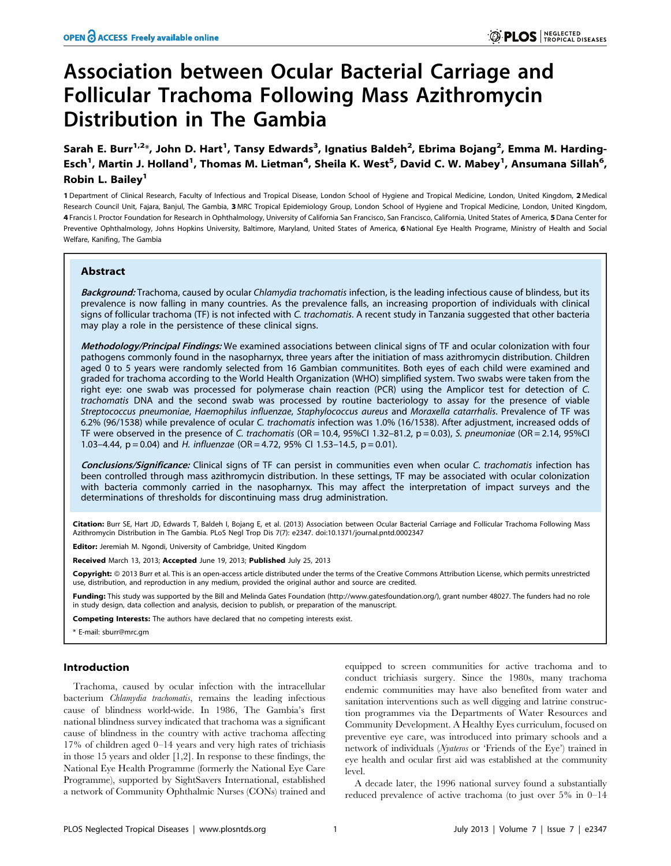# Association between Ocular Bacterial Carriage and Follicular Trachoma Following Mass Azithromycin Distribution in The Gambia

Sarah E. Burr<sup>1,2</sup>\*, John D. Hart<sup>1</sup>, Tansy Edwards<sup>3</sup>, Ignatius Baldeh<sup>2</sup>, Ebrima Bojang<sup>2</sup>, Emma M. Harding-Esch<sup>1</sup>, Martin J. Holland<sup>1</sup>, Thomas M. Lietman<sup>4</sup>, Sheila K. West<sup>5</sup>, David C. W. Mabey<sup>1</sup>, Ansumana Sillah<sup>6</sup>, Robin L. Bailey<sup>1</sup>

1 Department of Clinical Research, Faculty of Infectious and Tropical Disease, London School of Hygiene and Tropical Medicine, London, United Kingdom, 2 Medical Research Council Unit, Fajara, Banjul, The Gambia, 3 MRC Tropical Epidemiology Group, London School of Hygiene and Tropical Medicine, London, United Kingdom, 4 Francis I. Proctor Foundation for Research in Ophthalmology, University of California San Francisco, San Francisco, California, United States of America, 5 Dana Center for Preventive Ophthalmology, Johns Hopkins University, Baltimore, Maryland, United States of America, 6 National Eye Health Programe, Ministry of Health and Social Welfare, Kanifing, The Gambia

# Abstract

Background: Trachoma, caused by ocular Chlamydia trachomatis infection, is the leading infectious cause of blindess, but its prevalence is now falling in many countries. As the prevalence falls, an increasing proportion of individuals with clinical signs of follicular trachoma (TF) is not infected with C. trachomatis. A recent study in Tanzania suggested that other bacteria may play a role in the persistence of these clinical signs.

Methodology/Principal Findings: We examined associations between clinical signs of TF and ocular colonization with four pathogens commonly found in the nasopharnyx, three years after the initiation of mass azithromycin distribution. Children aged 0 to 5 years were randomly selected from 16 Gambian communitites. Both eyes of each child were examined and graded for trachoma according to the World Health Organization (WHO) simplified system. Two swabs were taken from the right eye: one swab was processed for polymerase chain reaction (PCR) using the Amplicor test for detection of C. trachomatis DNA and the second swab was processed by routine bacteriology to assay for the presence of viable Streptococcus pneumoniae, Haemophilus influenzae, Staphylococcus aureus and Moraxella catarrhalis. Prevalence of TF was 6.2% (96/1538) while prevalence of ocular C. trachomatis infection was 1.0% (16/1538). After adjustment, increased odds of TF were observed in the presence of C. trachomatis (OR = 10.4, 95%CI 1.32–81.2, p = 0.03), S. pneumoniae (OR = 2.14, 95%CI 1.03–4.44,  $p = 0.04$ ) and H. influenzae (OR = 4.72, 95% CI 1.53–14.5,  $p = 0.01$ ).

Conclusions/Significance: Clinical signs of TF can persist in communities even when ocular C. trachomatis infection has been controlled through mass azithromycin distribution. In these settings, TF may be associated with ocular colonization with bacteria commonly carried in the nasopharnyx. This may affect the interpretation of impact surveys and the determinations of thresholds for discontinuing mass drug administration.

Citation: Burr SE, Hart JD, Edwards T, Baldeh I, Bojang E, et al. (2013) Association between Ocular Bacterial Carriage and Follicular Trachoma Following Mass Azithromycin Distribution in The Gambia. PLoS Negl Trop Dis 7(7): e2347. doi:10.1371/journal.pntd.0002347

Editor: Jeremiah M. Ngondi, University of Cambridge, United Kingdom

Received March 13, 2013; Accepted June 19, 2013; Published July 25, 2013

**Copyright:** © 2013 Burr et al. This is an open-access article distributed under the terms of the Creative Commons Attribution License, which permits unrestricted use, distribution, and reproduction in any medium, provided the original author and source are credited.

Funding: This study was supported by the Bill and Melinda Gates Foundation (http://www.gatesfoundation.org/), grant number 48027. The funders had no role in study design, data collection and analysis, decision to publish, or preparation of the manuscript.

Competing Interests: The authors have declared that no competing interests exist.

\* E-mail: sburr@mrc.gm

# Introduction

Trachoma, caused by ocular infection with the intracellular bacterium Chlamydia trachomatis, remains the leading infectious cause of blindness world-wide. In 1986, The Gambia's first national blindness survey indicated that trachoma was a significant cause of blindness in the country with active trachoma affecting 17% of children aged 0–14 years and very high rates of trichiasis in those 15 years and older [1,2]. In response to these findings, the National Eye Health Programme (formerly the National Eye Care Programme), supported by SightSavers International, established a network of Community Ophthalmic Nurses (CONs) trained and

equipped to screen communities for active trachoma and to conduct trichiasis surgery. Since the 1980s, many trachoma endemic communities may have also benefited from water and sanitation interventions such as well digging and latrine construction programmes via the Departments of Water Resources and Community Development. A Healthy Eyes curriculum, focused on preventive eye care, was introduced into primary schools and a network of individuals (Nyateros or 'Friends of the Eye') trained in eye health and ocular first aid was established at the community level.

A decade later, the 1996 national survey found a substantially reduced prevalence of active trachoma (to just over 5% in 0–14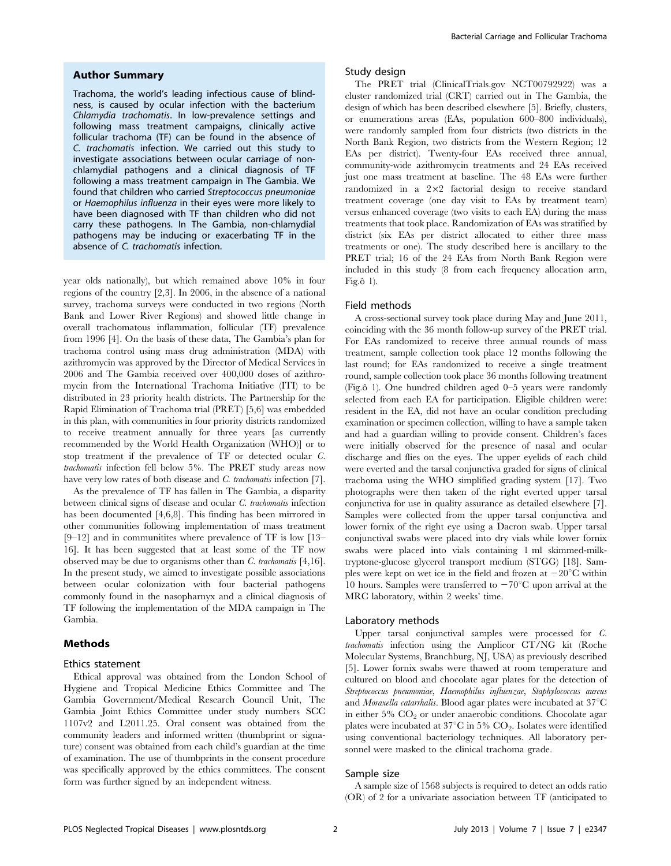## Author Summary

Trachoma, the world's leading infectious cause of blindness, is caused by ocular infection with the bacterium Chlamydia trachomatis. In low-prevalence settings and following mass treatment campaigns, clinically active follicular trachoma (TF) can be found in the absence of C. trachomatis infection. We carried out this study to investigate associations between ocular carriage of nonchlamydial pathogens and a clinical diagnosis of TF following a mass treatment campaign in The Gambia. We found that children who carried Streptococcus pneumoniae or Haemophilus influenza in their eyes were more likely to have been diagnosed with TF than children who did not carry these pathogens. In The Gambia, non-chlamydial pathogens may be inducing or exacerbating TF in the absence of C. trachomatis infection.

year olds nationally), but which remained above 10% in four regions of the country [2,3]. In 2006, in the absence of a national survey, trachoma surveys were conducted in two regions (North Bank and Lower River Regions) and showed little change in overall trachomatous inflammation, follicular (TF) prevalence from 1996 [4]. On the basis of these data, The Gambia's plan for trachoma control using mass drug administration (MDA) with azithromycin was approved by the Director of Medical Services in 2006 and The Gambia received over 400,000 doses of azithromycin from the International Trachoma Initiative (ITI) to be distributed in 23 priority health districts. The Partnership for the Rapid Elimination of Trachoma trial (PRET) [5,6] was embedded in this plan, with communities in four priority districts randomized to receive treatment annually for three years [as currently recommended by the World Health Organization (WHO)] or to stop treatment if the prevalence of TF or detected ocular C. trachomatis infection fell below 5%. The PRET study areas now have very low rates of both disease and C. trachomatis infection [7].

As the prevalence of TF has fallen in The Gambia, a disparity between clinical signs of disease and ocular C. trachomatis infection has been documented [4,6,8]. This finding has been mirrored in other communities following implementation of mass treatment [9–12] and in communitites where prevalence of TF is low [13– 16]. It has been suggested that at least some of the TF now observed may be due to organisms other than  $C$ . trachomatis [4,16]. In the present study, we aimed to investigate possible associations between ocular colonization with four bacterial pathogens commonly found in the nasopharnyx and a clinical diagnosis of TF following the implementation of the MDA campaign in The Gambia.

# Methods

#### Ethics statement

Ethical approval was obtained from the London School of Hygiene and Tropical Medicine Ethics Committee and The Gambia Government/Medical Research Council Unit, The Gambia Joint Ethics Committee under study numbers SCC 1107v2 and L2011.25. Oral consent was obtained from the community leaders and informed written (thumbprint or signature) consent was obtained from each child's guardian at the time of examination. The use of thumbprints in the consent procedure was specifically approved by the ethics committees. The consent form was further signed by an independent witness.

# Study design

The PRET trial (ClinicalTrials.gov NCT00792922) was a cluster randomized trial (CRT) carried out in The Gambia, the design of which has been described elsewhere [5]. Briefly, clusters, or enumerations areas (EAs, population 600–800 individuals), were randomly sampled from four districts (two districts in the North Bank Region, two districts from the Western Region; 12 EAs per district). Twenty-four EAs received three annual, community-wide azithromycin treatments and 24 EAs received just one mass treatment at baseline. The 48 EAs were further randomized in a  $2\times2$  factorial design to receive standard treatment coverage (one day visit to EAs by treatment team) versus enhanced coverage (two visits to each EA) during the mass treatments that took place. Randomization of EAs was stratified by district (six EAs per district allocated to either three mass treatments or one). The study described here is ancillary to the PRET trial; 16 of the 24 EAs from North Bank Region were included in this study (8 from each frequency allocation arm, Fig. $\hat{o}$  1).

#### Field methods

A cross-sectional survey took place during May and June 2011, coinciding with the 36 month follow-up survey of the PRET trial. For EAs randomized to receive three annual rounds of mass treatment, sample collection took place 12 months following the last round; for EAs randomized to receive a single treatment round, sample collection took place 36 months following treatment (Fig. $\hat{o}$  1). One hundred children aged 0–5 years were randomly selected from each EA for participation. Eligible children were: resident in the EA, did not have an ocular condition precluding examination or specimen collection, willing to have a sample taken and had a guardian willing to provide consent. Children's faces were initially observed for the presence of nasal and ocular discharge and flies on the eyes. The upper eyelids of each child were everted and the tarsal conjunctiva graded for signs of clinical trachoma using the WHO simplified grading system [17]. Two photographs were then taken of the right everted upper tarsal conjunctiva for use in quality assurance as detailed elsewhere [7]. Samples were collected from the upper tarsal conjunctiva and lower fornix of the right eye using a Dacron swab. Upper tarsal conjunctival swabs were placed into dry vials while lower fornix swabs were placed into vials containing 1 ml skimmed-milktryptone-glucose glycerol transport medium (STGG) [18]. Samples were kept on wet ice in the field and frozen at  $-20^{\circ}$ C within 10 hours. Samples were transferred to  $-70^{\circ}$ C upon arrival at the MRC laboratory, within 2 weeks' time.

## Laboratory methods

Upper tarsal conjunctival samples were processed for C. trachomatis infection using the Amplicor CT/NG kit (Roche Molecular Systems, Branchburg, NJ, USA) as previously described [5]. Lower fornix swabs were thawed at room temperature and cultured on blood and chocolate agar plates for the detection of Streptococcus pneumoniae, Haemophilus influenzae, Staphylococcus aureus and Moraxella catarrhalis. Blood agar plates were incubated at  $37^{\circ}$ C in either  $5\%$  CO<sub>2</sub> or under anaerobic conditions. Chocolate agar plates were incubated at  $37^{\circ}$ C in 5% CO<sub>2</sub>. Isolates were identified using conventional bacteriology techniques. All laboratory personnel were masked to the clinical trachoma grade.

#### Sample size

A sample size of 1568 subjects is required to detect an odds ratio (OR) of 2 for a univariate association between TF (anticipated to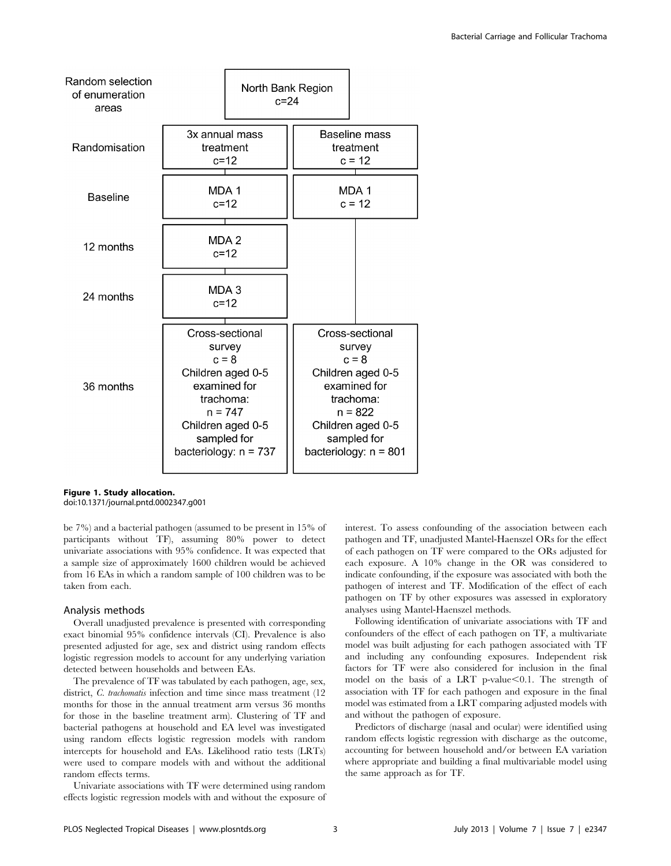| Random selection<br>of enumeration<br>areas |                                                                                                                                                                    |                                         | North Bank Region<br>$c = 24$ |                                                                                                                                                                    |  |  |
|---------------------------------------------|--------------------------------------------------------------------------------------------------------------------------------------------------------------------|-----------------------------------------|-------------------------------|--------------------------------------------------------------------------------------------------------------------------------------------------------------------|--|--|
| Randomisation                               |                                                                                                                                                                    | 3x annual mass<br>treatment<br>$c = 12$ |                               | Baseline mass<br>treatment<br>$c = 12$                                                                                                                             |  |  |
| <b>Baseline</b>                             | MDA 1                                                                                                                                                              | $c=12$                                  |                               | MDA 1<br>$c = 12$                                                                                                                                                  |  |  |
| 12 months                                   |                                                                                                                                                                    | MDA 2<br>$c = 12$                       |                               |                                                                                                                                                                    |  |  |
| 24 months                                   |                                                                                                                                                                    | MDA 3<br>$c = 12$                       |                               |                                                                                                                                                                    |  |  |
| 36 months                                   | Cross-sectional<br>survey<br>$c = 8$<br>Children aged 0-5<br>examined for<br>trachoma:<br>$n = 747$<br>Children aged 0-5<br>sampled for<br>bacteriology: $n = 737$ |                                         |                               | Cross-sectional<br>survey<br>$c = 8$<br>Children aged 0-5<br>examined for<br>trachoma:<br>$n = 822$<br>Children aged 0-5<br>sampled for<br>bacteriology: $n = 801$ |  |  |

Figure 1. Study allocation. doi:10.1371/journal.pntd.0002347.g001

be 7%) and a bacterial pathogen (assumed to be present in 15% of participants without TF), assuming 80% power to detect univariate associations with 95% confidence. It was expected that a sample size of approximately 1600 children would be achieved from 16 EAs in which a random sample of 100 children was to be taken from each.

#### Analysis methods

Overall unadjusted prevalence is presented with corresponding exact binomial 95% confidence intervals (CI). Prevalence is also presented adjusted for age, sex and district using random effects logistic regression models to account for any underlying variation detected between households and between EAs.

The prevalence of TF was tabulated by each pathogen, age, sex, district, *C. trachomatis* infection and time since mass treatment (12) months for those in the annual treatment arm versus 36 months for those in the baseline treatment arm). Clustering of TF and bacterial pathogens at household and EA level was investigated using random effects logistic regression models with random intercepts for household and EAs. Likelihood ratio tests (LRTs) were used to compare models with and without the additional random effects terms.

Univariate associations with TF were determined using random effects logistic regression models with and without the exposure of interest. To assess confounding of the association between each pathogen and TF, unadjusted Mantel-Haenszel ORs for the effect of each pathogen on TF were compared to the ORs adjusted for each exposure. A 10% change in the OR was considered to indicate confounding, if the exposure was associated with both the pathogen of interest and TF. Modification of the effect of each pathogen on TF by other exposures was assessed in exploratory analyses using Mantel-Haenszel methods.

Following identification of univariate associations with TF and confounders of the effect of each pathogen on TF, a multivariate model was built adjusting for each pathogen associated with TF and including any confounding exposures. Independent risk factors for TF were also considered for inclusion in the final model on the basis of a LRT p-value $< 0.1$ . The strength of association with TF for each pathogen and exposure in the final model was estimated from a LRT comparing adjusted models with and without the pathogen of exposure.

Predictors of discharge (nasal and ocular) were identified using random effects logistic regression with discharge as the outcome, accounting for between household and/or between EA variation where appropriate and building a final multivariable model using the same approach as for TF.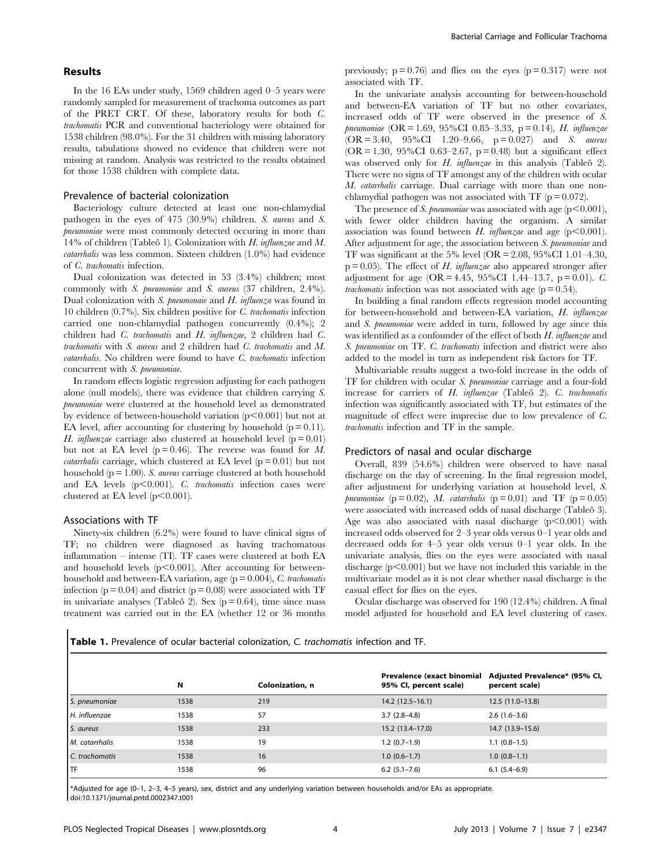# Results

In the 16 EAs under study, 1569 children aged 0–5 years were randomly sampled for measurement of trachoma outcomes as part of the PRET CRT. Of these, laboratory results for both C. trachomatis PCR and conventional bacteriology were obtained for 1538 children (98.0%). For the 31 children with missing laboratory results, tabulations showed no evidence that children were not missing at random. Analysis was restricted to the results obtained for those 1538 children with complete data.

## Prevalence of bacterial colonization

Bacteriology culture detected at least one non-chlamydial pathogen in the eyes of 475 (30.9%) children. S. aureus and S. pneumoniae were most commonly detected occuring in more than 14% of children (Tableô 1). Colonization with H. influenzae and M. catarrhalis was less common. Sixteen children (1.0%) had evidence of C. trachomatis infection.

Dual colonization was detected in 53 (3.4%) children; most commonly with S. pneumoniae and S. aureus (37 children, 2.4%). Dual colonization with S. pneumonaie and H. influenza was found in 10 children (0.7%). Six children positive for C. trachomatis infection carried one non-chlamydial pathogen concurrently (0.4%); 2 children had C. trachomatis and H. influenzae, 2 children had C. trachomatis with S. aureus and 2 children had C. trachomatis and M. catarrhalis. No children were found to have C. trachomatis infection concurrent with S. pneumoniae.

In random effects logistic regression adjusting for each pathogen alone (null models), there was evidence that children carrying S. pneumoniae were clustered at the household level as demonstrated by evidence of between-household variation  $(p<0.001)$  but not at EA level, after accounting for clustering by household  $(p = 0.11)$ . H. influenzae carriage also clustered at household level ( $p = 0.01$ ) but not at EA level  $(p = 0.46)$ . The reverse was found for M. *catarrhalis* carriage, which clustered at EA level  $(p = 0.01)$  but not household ( $p = 1.00$ ). S. *aureus* carriage clustered at both household and EA levels  $(p<0.001)$ . C. trachomatis infection cases were clustered at EA level  $(p<0.001)$ .

# Associations with TF

Ninety-six children (6.2%) were found to have clinical signs of TF; no children were diagnosed as having trachomatous inflammation – intense (TI). TF cases were clustered at both EA and household levels  $(p<0.001)$ . After accounting for betweenhousehold and between-EA variation, age  $(p = 0.004)$ , *C. trachomatis* infection ( $p = 0.04$ ) and district ( $p = 0.08$ ) were associated with TF in univariate analyses (Tableô 2). Sex ( $p = 0.64$ ), time since mass treatment was carried out in the EA (whether 12 or 36 months previously;  $p = 0.76$ ) and flies on the eyes ( $p = 0.317$ ) were not associated with TF.

In the univariate analysis accounting for between-household and between-EA variation of TF but no other covariates, increased odds of TF were observed in the presence of S. pneumoniae (OR = 1.69, 95%CI 0.85–3.33, p = 0.14), H. influenzae  $(OR = 3.40, 95\% CI \t1.20-9.66, p = 0.027)$  and S. *aureus* (OR = 1.30, 95%CI 0.63-2.67, p = 0.48) but a significant effect was observed only for  $H$ . *influenzae* in this analysis (Tableô 2). There were no signs of TF amongst any of the children with ocular M. catarrhalis carriage. Dual carriage with more than one nonchlamydial pathogen was not associated with TF  $(p = 0.072)$ .

The presence of S. pneumoniae was associated with age  $(p<0.001)$ , with fewer older children having the organism. A similar association was found between H. influenzae and age ( $p < 0.001$ ). After adjustment for age, the association between S. pneumoniae and TF was significant at the 5% level (OR =  $2.08$ ,  $95\%$ CI 1.01–4.30,  $p = 0.05$ ). The effect of H. influenzae also appeared stronger after adjustment for age (OR = 4.45, 95%CI 1.44–13.7, p = 0.01). C. *trachomatis* infection was not associated with age  $(p = 0.54)$ .

In building a final random effects regression model accounting for between-household and between-EA variation, H. influenzae and S. pneumoniae were added in turn, followed by age since this was identified as a confounder of the effect of both H. influenzae and S. pneumoniae on TF. C. trachomatis infection and district were also added to the model in turn as independent risk factors for TF.

Multivariable results suggest a two-fold increase in the odds of TF for children with ocular S. pneumoniae carriage and a four-fold increase for carriers of  $H$ . influenzae (Tableô 2).  $C$ . trachomatis infection was significantly associated with TF, but estimates of the magnitude of effect were imprecise due to low prevalence of C. trachomatis infection and TF in the sample.

#### Predictors of nasal and ocular discharge

Overall, 839 (54.6%) children were observed to have nasal discharge on the day of screening. In the final regression model, after adjustment for underlying variation at household level, S. pneumoniae (p = 0.02), M. catarrhalis (p = 0.01) and TF (p = 0.05) were associated with increased odds of nasal discharge (Tableo 3). Age was also associated with nasal discharge  $(p<0.001)$  with increased odds observed for 2–3 year olds versus 0–1 year olds and decreased odds for 4–5 year olds versus 0–1 year olds. In the univariate analysis, flies on the eyes were associated with nasal discharge  $(p<0.001)$  but we have not included this variable in the multivariate model as it is not clear whether nasal discharge is the casual effect for flies on the eyes.

Ocular discharge was observed for 190 (12.4%) children. A final model adjusted for household and EA level clustering of cases.

| <b>Table 1.</b> Prevalence of ocular bacterial colonization, C. trachomatis infection and TF. |  |
|-----------------------------------------------------------------------------------------------|--|
|-----------------------------------------------------------------------------------------------|--|

|                | N    | Colonization, n | Prevalence (exact binomial<br>95% CI, percent scale) | Adjusted Prevalence* (95% CI,<br>percent scale) |
|----------------|------|-----------------|------------------------------------------------------|-------------------------------------------------|
| S. pneumoniae  | 1538 | 219             | $14.2(12.5-16.1)$                                    | $12.5(11.0-13.8)$                               |
| H. influenzae  | 1538 | 57              | $3.7(2.8-4.8)$                                       | $2.6(1.6-3.6)$                                  |
| S. aureus      | 1538 | 233             | 15.2 (13.4–17.0)                                     | 14.7 (13.9–15.6)                                |
| M. catarrhalis | 1538 | 19              | $1.2(0.7-1.9)$                                       | $1.1(0.8-1.5)$                                  |
| C. trachomatis | 1538 | 16              | $1.0(0.6-1.7)$                                       | $1.0(0.8-1.1)$                                  |
| <b>I</b> TF    | 1538 | 96              | $6.2(5.1 - 7.6)$                                     | $6.1(5.4-6.9)$                                  |

\*Adjusted for age (0–1, 2–3, 4–5 years), sex, district and any underlying variation between households and/or EAs as appropriate. doi:10.1371/journal.pntd.0002347.t001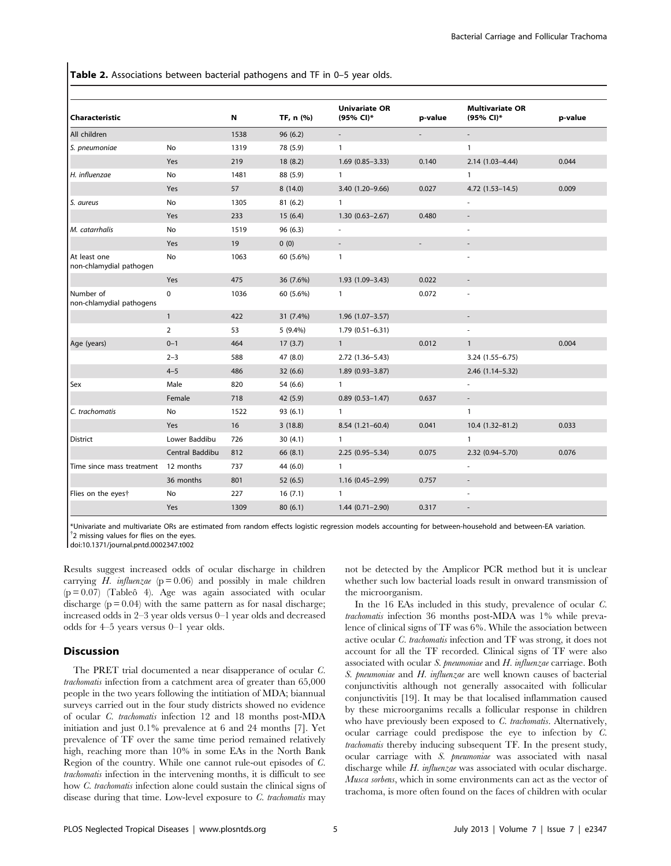Table 2. Associations between bacterial pathogens and TF in 0-5 year olds.

|                                         |                 |      |           | <b>Univariate OR</b>     |         | <b>Multivariate OR</b>   |         |
|-----------------------------------------|-----------------|------|-----------|--------------------------|---------|--------------------------|---------|
| <b>Characteristic</b>                   |                 | N    | TF, n (%) | (95% CI)*                | p-value | (95% CI)*                | p-value |
| All children                            |                 | 1538 | 96(6.2)   |                          |         |                          |         |
| S. pneumoniae                           | No              | 1319 | 78 (5.9)  | $\mathbf{1}$             |         | $\mathbf{1}$             |         |
|                                         | Yes             | 219  | 18(8.2)   | $1.69(0.85 - 3.33)$      | 0.140   | $2.14(1.03 - 4.44)$      | 0.044   |
| H. influenzae                           | No              | 1481 | 88 (5.9)  | $\mathbf{1}$             |         | $\mathbf{1}$             |         |
|                                         | Yes             | 57   | 8(14.0)   | $3.40(1.20 - 9.66)$      | 0.027   | $4.72(1.53 - 14.5)$      | 0.009   |
| S. aureus                               | No              | 1305 | 81(6.2)   | $\mathbf{1}$             |         |                          |         |
|                                         | Yes             | 233  | 15(6.4)   | $1.30(0.63 - 2.67)$      | 0.480   |                          |         |
| M. catarrhalis                          | No              | 1519 | 96(6.3)   |                          |         | $\sim$                   |         |
|                                         | Yes             | 19   | 0(0)      | $\overline{\phantom{a}}$ |         |                          |         |
| At least one<br>non-chlamydial pathogen | No              | 1063 | 60 (5.6%) | $\mathbf{1}$             |         |                          |         |
|                                         | <b>Yes</b>      | 475  | 36 (7.6%) | $1.93(1.09 - 3.43)$      | 0.022   |                          |         |
| Number of<br>non-chlamydial pathogens   | 0               | 1036 | 60 (5.6%) | $\mathbf{1}$             | 0.072   | $\overline{\phantom{m}}$ |         |
|                                         | $\mathbf{1}$    | 422  | 31 (7.4%) | $1.96(1.07 - 3.57)$      |         |                          |         |
|                                         | 2               | 53   | 5 (9.4%)  | $1.79(0.51 - 6.31)$      |         |                          |         |
| Age (years)                             | $0 - 1$         | 464  | 17(3.7)   | $\mathbf{1}$             | 0.012   | $\mathbf{1}$             | 0.004   |
|                                         | $2 - 3$         | 588  | 47 (8.0)  | 2.72 (1.36-5.43)         |         | 3.24 (1.55-6.75)         |         |
|                                         | $4 - 5$         | 486  | 32(6.6)   | 1.89 (0.93-3.87)         |         | 2.46 (1.14-5.32)         |         |
| Sex                                     | Male            | 820  | 54 (6.6)  | $\mathbf{1}$             |         |                          |         |
|                                         | Female          | 718  | 42 (5.9)  | $0.89(0.53 - 1.47)$      | 0.637   | $\overline{\phantom{a}}$ |         |
| C. trachomatis                          | No              | 1522 | 93(6.1)   | $\mathbf{1}$             |         | $\mathbf{1}$             |         |
|                                         | Yes             | 16   | 3(18.8)   | $8.54(1.21 - 60.4)$      | 0.041   | 10.4 (1.32-81.2)         | 0.033   |
| l District                              | Lower Baddibu   | 726  | 30(4.1)   | $\mathbf{1}$             |         | $\mathbf{1}$             |         |
|                                         | Central Baddibu | 812  | 66 (8.1)  | $2.25(0.95 - 5.34)$      | 0.075   | 2.32 (0.94-5.70)         | 0.076   |
| Time since mass treatment               | 12 months       | 737  | 44 (6.0)  | $\mathbf{1}$             |         |                          |         |
|                                         | 36 months       | 801  | 52(6.5)   | $1.16(0.45 - 2.99)$      | 0.757   | $\overline{\phantom{a}}$ |         |
| Flies on the eyest                      | No              | 227  | 16(7.1)   | $\mathbf{1}$             |         | ä,                       |         |
|                                         | Yes             | 1309 | 80(6.1)   | $1.44(0.71 - 2.90)$      | 0.317   |                          |         |

\*Univariate and multivariate ORs are estimated from random effects logistic regression models accounting for between-household and between-EA variation. {  $<sup>†</sup>2$  missing values for flies on the eyes.</sup>

doi:10.1371/journal.pntd.0002347.t002

Results suggest increased odds of ocular discharge in children carrying H. influenzae  $(p = 0.06)$  and possibly in male children  $(p = 0.07)$  (Tableô 4). Age was again associated with ocular discharge  $(p = 0.04)$  with the same pattern as for nasal discharge; increased odds in 2–3 year olds versus 0–1 year olds and decreased odds for 4–5 years versus 0–1 year olds.

# Discussion

The PRET trial documented a near disapperance of ocular C. trachomatis infection from a catchment area of greater than 65,000 people in the two years following the intitiation of MDA; biannual surveys carried out in the four study districts showed no evidence of ocular C. trachomatis infection 12 and 18 months post-MDA initiation and just 0.1% prevalence at 6 and 24 months [7]. Yet prevalence of TF over the same time period remained relatively high, reaching more than 10% in some EAs in the North Bank Region of the country. While one cannot rule-out episodes of C. trachomatis infection in the intervening months, it is difficult to see how C. trachomatis infection alone could sustain the clinical signs of disease during that time. Low-level exposure to  $C$ . trachomatis may not be detected by the Amplicor PCR method but it is unclear whether such low bacterial loads result in onward transmission of the microorganism.

In the 16 EAs included in this study, prevalence of ocular C. trachomatis infection 36 months post-MDA was 1% while prevalence of clinical signs of TF was 6%. While the association between active ocular C. trachomatis infection and TF was strong, it does not account for all the TF recorded. Clinical signs of TF were also associated with ocular S. pneumoniae and H. influenzae carriage. Both S. pneumoniae and H. influenzae are well known causes of bacterial conjunctivitis although not generally assocaited with follicular conjunctivitis [19]. It may be that localised inflammation caused by these microorganims recalls a follicular response in children who have previously been exposed to C. trachomatis. Alternatively, ocular carriage could predispose the eye to infection by C. trachomatis thereby inducing subsequent TF. In the present study, ocular carriage with S. pneumoniae was associated with nasal discharge while H. influenzae was associated with ocular discharge. Musca sorbens, which in some environments can act as the vector of trachoma, is more often found on the faces of children with ocular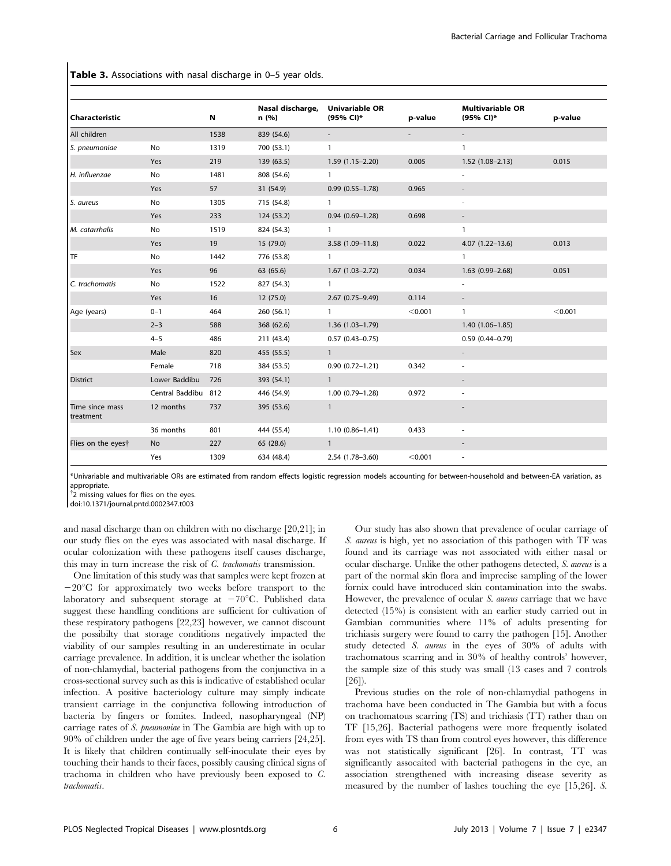Table 3. Associations with nasal discharge in 0-5 year olds.

|                              |                     |      | Nasal discharge, | <b>Univariable OR</b> |         | <b>Multivariable OR</b>  |         |
|------------------------------|---------------------|------|------------------|-----------------------|---------|--------------------------|---------|
| Characteristic               |                     | N    | n(%)             | (95% CI)*             | p-value | (95% CI)*                | p-value |
| All children                 |                     | 1538 | 839 (54.6)       |                       |         |                          |         |
| S. pneumoniae                | No                  | 1319 | 700 (53.1)       | $\mathbf{1}$          |         | 1                        |         |
|                              | Yes                 | 219  | 139 (63.5)       | $1.59(1.15 - 2.20)$   | 0.005   | $1.52(1.08-2.13)$        | 0.015   |
| H. influenzae                | No                  | 1481 | 808 (54.6)       | $\mathbf{1}$          |         | $\overline{\phantom{a}}$ |         |
|                              | Yes                 | 57   | 31 (54.9)        | $0.99(0.55 - 1.78)$   | 0.965   |                          |         |
| S. aureus                    | No                  | 1305 | 715 (54.8)       | $\mathbf{1}$          |         |                          |         |
|                              | Yes                 | 233  | 124 (53.2)       | $0.94(0.69 - 1.28)$   | 0.698   |                          |         |
| M. catarrhalis               | No                  | 1519 | 824 (54.3)       | $\mathbf{1}$          |         | 1                        |         |
|                              | Yes                 | 19   | 15 (79.0)        | $3.58(1.09 - 11.8)$   | 0.022   | $4.07(1.22 - 13.6)$      | 0.013   |
| l TF                         | No                  | 1442 | 776 (53.8)       | $\mathbf{1}$          |         | $\mathbf{1}$             |         |
|                              | <b>Yes</b>          | 96   | 63 (65.6)        | $1.67(1.03 - 2.72)$   | 0.034   | $1.63(0.99 - 2.68)$      | 0.051   |
| C. trachomatis               | No                  | 1522 | 827 (54.3)       | $\mathbf{1}$          |         | $\overline{\phantom{a}}$ |         |
|                              | Yes                 | 16   | 12 (75.0)        | $2.67(0.75 - 9.49)$   | 0.114   |                          |         |
| Age (years)                  | $0 - 1$             | 464  | 260 (56.1)       | $\mathbf{1}$          | < 0.001 | $\mathbf{1}$             | < 0.001 |
|                              | $2 - 3$             | 588  | 368 (62.6)       | $1.36(1.03 - 1.79)$   |         | $1.40(1.06 - 1.85)$      |         |
|                              | $4 - 5$             | 486  | 211 (43.4)       | $0.57(0.43 - 0.75)$   |         | $0.59$ $(0.44 - 0.79)$   |         |
| Sex                          | Male                | 820  | 455 (55.5)       | $\mathbf{1}$          |         |                          |         |
|                              | Female              | 718  | 384 (53.5)       | $0.90(0.72 - 1.21)$   | 0.342   | $\overline{\phantom{a}}$ |         |
| <b>District</b>              | Lower Baddibu       | 726  | 393 (54.1)       | $\mathbf{1}$          |         | $\overline{\phantom{a}}$ |         |
|                              | Central Baddibu 812 |      | 446 (54.9)       | $1.00(0.79 - 1.28)$   | 0.972   |                          |         |
| Time since mass<br>treatment | 12 months           | 737  | 395 (53.6)       | $\mathbf{1}$          |         |                          |         |
|                              | 36 months           | 801  | 444 (55.4)       | $1.10(0.86 - 1.41)$   | 0.433   | $\overline{\phantom{a}}$ |         |
| Flies on the eyest           | No                  | 227  | 65 (28.6)        | $\mathbf{1}$          |         |                          |         |
|                              | Yes                 | 1309 | 634 (48.4)       | $2.54(1.78 - 3.60)$   | < 0.001 |                          |         |

\*Univariable and multivariable ORs are estimated from random effects logistic regression models accounting for between-household and between-EA variation, as appropriate.

<sup>†</sup>2 missing values for flies on the eyes.

doi:10.1371/journal.pntd.0002347.t003

and nasal discharge than on children with no discharge [20,21]; in our study flies on the eyes was associated with nasal discharge. If ocular colonization with these pathogens itself causes discharge, this may in turn increase the risk of C. trachomatis transmission.

One limitation of this study was that samples were kept frozen at  $-20^{\circ}$ C for approximately two weeks before transport to the laboratory and subsequent storage at  $-70^{\circ}$ C. Published data suggest these handling conditions are sufficient for cultivation of these respiratory pathogens [22,23] however, we cannot discount the possibilty that storage conditions negatively impacted the viability of our samples resulting in an underestimate in ocular carriage prevalence. In addition, it is unclear whether the isolation of non-chlamydial, bacterial pathogens from the conjunctiva in a cross-sectional survey such as this is indicative of established ocular infection. A positive bacteriology culture may simply indicate transient carriage in the conjunctiva following introduction of bacteria by fingers or fomites. Indeed, nasopharyngeal (NP) carriage rates of S. pneumoniae in The Gambia are high with up to 90% of children under the age of five years being carriers [24,25]. It is likely that children continually self-inoculate their eyes by touching their hands to their faces, possibly causing clinical signs of trachoma in children who have previously been exposed to C. trachomatis.

Our study has also shown that prevalence of ocular carriage of S. aureus is high, yet no association of this pathogen with TF was found and its carriage was not associated with either nasal or ocular discharge. Unlike the other pathogens detected, S. aureus is a part of the normal skin flora and imprecise sampling of the lower fornix could have introduced skin contamination into the swabs. However, the prevalence of ocular S. aureus carriage that we have detected (15%) is consistent with an earlier study carried out in Gambian communities where 11% of adults presenting for trichiasis surgery were found to carry the pathogen [15]. Another study detected S. aureus in the eyes of 30% of adults with trachomatous scarring and in 30% of healthy controls' however, the sample size of this study was small (13 cases and 7 controls [26]).

Previous studies on the role of non-chlamydial pathogens in trachoma have been conducted in The Gambia but with a focus on trachomatous scarring (TS) and trichiasis (TT) rather than on TF [15,26]. Bacterial pathogens were more frequently isolated from eyes with TS than from control eyes however, this difference was not statistically significant [26]. In contrast, TT was significantly assocaited with bacterial pathogens in the eye, an association strengthened with increasing disease severity as measured by the number of lashes touching the eye [15,26]. S.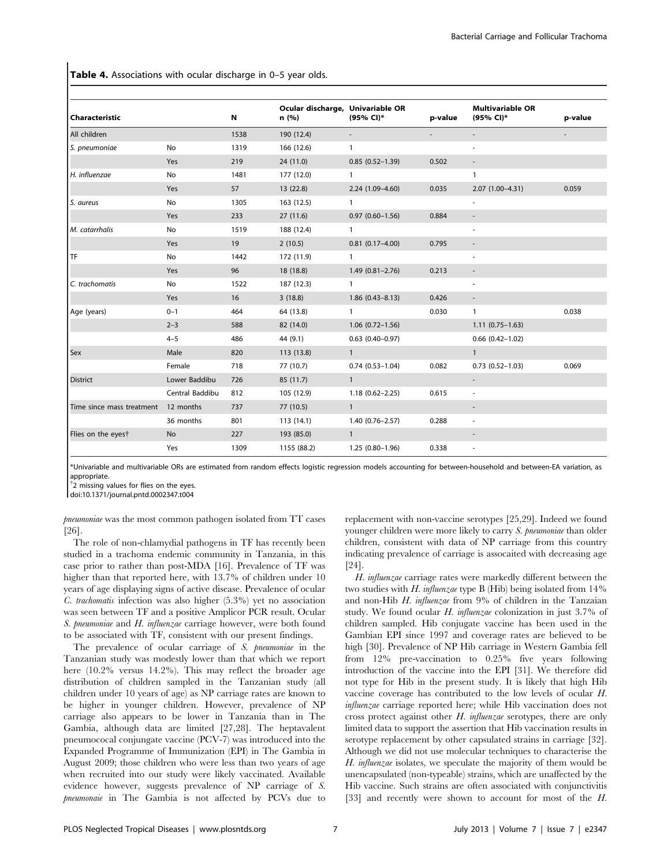Table 4. Associations with ocular discharge in 0-5 year olds.

| <b>Characteristic</b>     |                 | N    | Ocular discharge, Univariable OR<br>n (%) | (95% CI)*                | p-value | <b>Multivariable OR</b><br>(95% CI)* | p-value |
|---------------------------|-----------------|------|-------------------------------------------|--------------------------|---------|--------------------------------------|---------|
| All children              |                 | 1538 | 190 (12.4)                                | $\overline{\phantom{a}}$ |         |                                      |         |
| S. pneumoniae             | No              | 1319 | 166 (12.6)                                | $\mathbf{1}$             |         | $\overline{\phantom{m}}$             |         |
|                           | Yes             | 219  | 24(11.0)                                  | $0.85(0.52 - 1.39)$      | 0.502   | $\overline{\phantom{a}}$             |         |
| H. influenzae             | No              | 1481 | 177 (12.0)                                | $\mathbf{1}$             |         | $\mathbf{1}$                         |         |
|                           | Yes             | 57   | 13(22.8)                                  | 2.24 (1.09-4.60)         | 0.035   | $2.07(1.00-4.31)$                    | 0.059   |
| S. aureus                 | No              | 1305 | 163 (12.5)                                | $\mathbf{1}$             |         | ۰                                    |         |
|                           | Yes             | 233  | 27(11.6)                                  | $0.97(0.60 - 1.56)$      | 0.884   | $\overline{\phantom{a}}$             |         |
| M. catarrhalis            | No              | 1519 | 188 (12.4)                                | $\mathbf{1}$             |         | ٠                                    |         |
|                           | Yes             | 19   | 2(10.5)                                   | $0.81(0.17 - 4.00)$      | 0.795   |                                      |         |
| <b>TF</b>                 | No              | 1442 | 172 (11.9)                                | $\mathbf{1}$             |         |                                      |         |
|                           | Yes             | 96   | 18 (18.8)                                 | $1.49(0.81 - 2.76)$      | 0.213   |                                      |         |
| C. trachomatis            | No              | 1522 | 187 (12.3)                                | $\mathbf{1}$             |         | ÷,                                   |         |
|                           | Yes             | 16   | 3(18.8)                                   | $1.86(0.43 - 8.13)$      | 0.426   | $\overline{\phantom{a}}$             |         |
| Age (years)               | $0 - 1$         | 464  | 64 (13.8)                                 | $\mathbf{1}$             | 0.030   | $\mathbf{1}$                         | 0.038   |
|                           | $2 - 3$         | 588  | 82 (14.0)                                 | $1.06(0.72 - 1.56)$      |         | $1.11(0.75-1.63)$                    |         |
|                           | $4 - 5$         | 486  | 44 (9.1)                                  | $0.63$ $(0.40 - 0.97)$   |         | $0.66$ $(0.42 - 1.02)$               |         |
| <b>Sex</b>                | Male            | 820  | 113 (13.8)                                | $\mathbf{1}$             |         | $\mathbf{1}$                         |         |
|                           | Female          | 718  | 77 (10.7)                                 | $0.74(0.53 - 1.04)$      | 0.082   | $0.73(0.52 - 1.03)$                  | 0.069   |
| <b>District</b>           | Lower Baddibu   | 726  | 85 (11.7)                                 | $\mathbf{1}$             |         | $\overline{\phantom{a}}$             |         |
|                           | Central Baddibu | 812  | 105 (12.9)                                | $1.18(0.62 - 2.25)$      | 0.615   | $\overline{\phantom{a}}$             |         |
| Time since mass treatment | 12 months       | 737  | 77 (10.5)                                 | $\mathbf{1}$             |         |                                      |         |
|                           | 36 months       | 801  | 113(14.1)                                 | $1.40(0.76 - 2.57)$      | 0.288   | $\overline{\phantom{a}}$             |         |
| Flies on the eyest        | <b>No</b>       | 227  | 193 (85.0)                                | $\overline{1}$           |         |                                      |         |
|                           | Yes             | 1309 | 1155 (88.2)                               | $1.25(0.80-1.96)$        | 0.338   | $\overline{\phantom{a}}$             |         |

\*Univariable and multivariable ORs are estimated from random effects logistic regression models accounting for between-household and between-EA variation, as appropriate.

<sup>†</sup>2 missing values for flies on the eyes.

doi:10.1371/journal.pntd.0002347.t004

pneumoniae was the most common pathogen isolated from TT cases [26].

The role of non-chlamydial pathogens in TF has recently been studied in a trachoma endemic community in Tanzania, in this case prior to rather than post-MDA [16]. Prevalence of TF was higher than that reported here, with 13.7% of children under 10 years of age displaying signs of active disease. Prevalence of ocular C. trachomatis infection was also higher (5.3%) yet no association was seen between TF and a positive Amplicor PCR result. Ocular S. pneumoniae and H. influenzae carriage however, were both found to be associated with TF, consistent with our present findings.

The prevalence of ocular carriage of S. pneumoniae in the Tanzanian study was modestly lower than that which we report here (10.2% versus 14.2%). This may reflect the broader age distribution of children sampled in the Tanzanian study (all children under 10 years of age) as NP carriage rates are known to be higher in younger children. However, prevalence of NP carriage also appears to be lower in Tanzania than in The Gambia, although data are limited [27,28]. The heptavalent pneumococal conjungate vaccine (PCV-7) was introduced into the Expanded Programme of Immunization (EPI) in The Gambia in August 2009; those children who were less than two years of age when recruited into our study were likely vaccinated. Available evidence however, suggests prevalence of NP carriage of S. pneumonaie in The Gambia is not affected by PCVs due to

replacement with non-vaccine serotypes [25,29]. Indeed we found younger children were more likely to carry S. pneumoniae than older children, consistent with data of NP carriage from this country indicating prevalence of carriage is assocaited with decreasing age [24].

H. influenzae carriage rates were markedly different between the two studies with H. influenzae type B (Hib) being isolated from  $14\%$ and non-Hib H. influenzae from 9% of children in the Tanzaian study. We found ocular H. influenzae colonization in just 3.7% of children sampled. Hib conjugate vaccine has been used in the Gambian EPI since 1997 and coverage rates are believed to be high [30]. Prevalence of NP Hib carriage in Western Gambia fell from 12% pre-vaccination to 0.25% five years following introduction of the vaccine into the EPI [31]. We therefore did not type for Hib in the present study. It is likely that high Hib vaccine coverage has contributed to the low levels of ocular H. influenzae carriage reported here; while Hib vaccination does not cross protect against other H. influenzae serotypes, there are only limited data to support the assertion that Hib vaccination results in serotype replacement by other capsulated strains in carriage [32]. Although we did not use molecular techniques to characterise the H. influenzae isolates, we speculate the majority of them would be unencapsulated (non-typeable) strains, which are unaffected by the Hib vaccine. Such strains are often associated with conjunctivitis [33] and recently were shown to account for most of the H.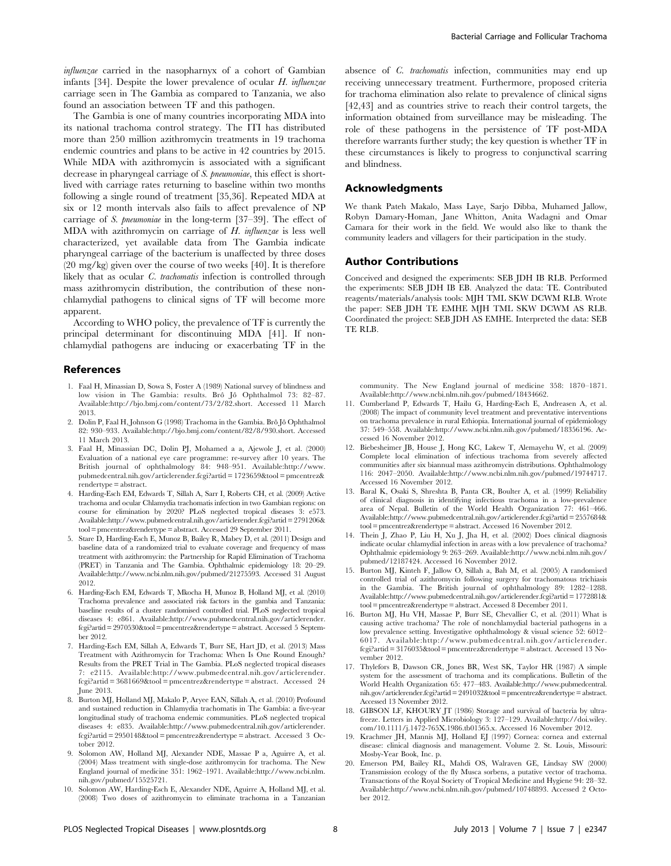influenzae carried in the nasopharnyx of a cohort of Gambian infants [34]. Despite the lower prevalence of ocular H. influenzae carriage seen in The Gambia as compared to Tanzania, we also found an association between TF and this pathogen.

The Gambia is one of many countries incorporating MDA into its national trachoma control strategy. The ITI has distributed more than 250 million azithromycin treatments in 19 trachoma endemic countries and plans to be active in 42 countries by 2015. While MDA with azithromycin is associated with a significant decrease in pharyngeal carriage of S. pneumoniae, this effect is shortlived with carriage rates returning to baseline within two months following a single round of treatment [35,36]. Repeated MDA at six or 12 month intervals also fails to affect prevalence of NP carriage of S. pneumoniae in the long-term [37–39]. The effect of MDA with azithromycin on carriage of H. influenzae is less well characterized, yet available data from The Gambia indicate pharyngeal carriage of the bacterium is unaffected by three doses (20 mg/kg) given over the course of two weeks [40]. It is therefore likely that as ocular C. trachomatis infection is controlled through mass azithromycin distribution, the contribution of these nonchlamydial pathogens to clinical signs of TF will become more apparent.

According to WHO policy, the prevalence of TF is currently the principal determinant for discontinuing MDA [41]. If nonchlamydial pathogens are inducing or exacerbating TF in the

#### References

- 1. Faal H, Minassian D, Sowa S, Foster A (1989) National survey of blindness and low vision in The Gambia: results. Brô Jô Ophthalmol 73: 82-87. Available:http://bjo.bmj.com/content/73/2/82.short. Accessed 11 March 2013.
- 2. Dolin P, Faal H, Johnson G (1998) Trachoma in the Gambia. Brô Jô Ophthalmol 82: 930–933. Available:http://bjo.bmj.com/content/82/8/930.short. Accessed 11 March 2013.
- 3. Faal H, Minassian DC, Dolin PJ, Mohamed a a, Ajewole J, et al. (2000) Evaluation of a national eye care programme: re-survey after 10 years. The British journal of ophthalmology 84: 948–951. Available:http://www. pubmedcentral.nih.gov/articlerender.fcgi?artid = 1723659&tool = pmcentrez& rendertype = abstract.
- 4. Harding-Esch EM, Edwards T, Sillah A, Sarr I, Roberts CH, et al. (2009) Active trachoma and ocular Chlamydia trachomatis infection in two Gambian regions: on course for elimination by 2020? PLoS neglected tropical diseases 3: e573. Available:http://www.pubmedcentral.nih.gov/articlerender.fcgi?artid = 2791206& tool = pmcentrez&rendertype = abstract. Accessed 29 September 2011.
- 5. Stare D, Harding-Esch E, Munoz B, Bailey R, Mabey D, et al. (2011) Design and baseline data of a randomized trial to evaluate coverage and frequency of mass treatment with azithromycin: the Partnership for Rapid Elimination of Trachoma (PRET) in Tanzania and The Gambia. Ophthalmic epidemiology 18: 20–29. Available:http://www.ncbi.nlm.nih.gov/pubmed/21275593. Accessed 31 August 2012.
- 6. Harding-Esch EM, Edwards T, Mkocha H, Munoz B, Holland MJ, et al. (2010) Trachoma prevalence and associated risk factors in the gambia and Tanzania: baseline results of a cluster randomised controlled trial. PLoS neglected tropical diseases 4: e861. Available:http://www.pubmedcentral.nih.gov/articlerender. fcgi?artid= 2970530&tool = pmcentrez&rendertype = abstract. Accessed 5 September 2012.
- 7. Harding-Esch EM, Sillah A, Edwards T, Burr SE, Hart JD, et al. (2013) Mass Treatment with Azithromycin for Trachoma: When Is One Round Enough? Results from the PRET Trial in The Gambia. PLoS neglected tropical diseases 7: e2115. Available:http://www.pubmedcentral.nih.gov/articlerender. fcgi?artid = 3681669&tool = pmcentrez&rendertype = abstract. Accessed 24 **Iune 2013.**
- 8. Burton MJ, Holland MJ, Makalo P, Aryee EAN, Sillah A, et al. (2010) Profound and sustained reduction in Chlamydia trachomatis in The Gambia: a five-year longitudinal study of trachoma endemic communities. PLoS neglected tropical diseases 4: e835. Available:http://www.pubmedcentral.nih.gov/articlerender. fcgi?artid = 2950148&tool = pmcentrez&rendertype = abstract. Accessed 3 October 2012
- 9. Solomon AW, Holland MJ, Alexander NDE, Massae P a, Aguirre A, et al. (2004) Mass treatment with single-dose azithromycin for trachoma. The New England journal of medicine 351: 1962–1971. Available:http://www.ncbi.nlm. nih.gov/pubmed/15525721.
- 10. Solomon AW, Harding-Esch E, Alexander NDE, Aguirre A, Holland MJ, et al. (2008) Two doses of azithromycin to eliminate trachoma in a Tanzanian

absence of C. trachomatis infection, communities may end up receiving unnecessary treatment. Furthermore, proposed criteria for trachoma elimination also relate to prevalence of clinical signs [42,43] and as countries strive to reach their control targets, the information obtained from surveillance may be misleading. The role of these pathogens in the persistence of TF post-MDA therefore warrants further study; the key question is whether TF in these circumstances is likely to progress to conjunctival scarring and blindness.

#### Acknowledgments

We thank Pateh Makalo, Mass Laye, Sarjo Dibba, Muhamed Jallow, Robyn Damary-Homan, Jane Whitton, Anita Wadagni and Omar Camara for their work in the field. We would also like to thank the community leaders and villagers for their participation in the study.

#### Author Contributions

Conceived and designed the experiments: SEB JDH IB RLB. Performed the experiments: SEB JDH IB EB. Analyzed the data: TE. Contributed reagents/materials/analysis tools: MJH TML SKW DCWM RLB. Wrote the paper: SEB JDH TE EMHE MJH TML SKW DCWM AS RLB. Coordinated the project: SEB JDH AS EMHE. Interpreted the data: SEB TE RLB.

community. The New England journal of medicine 358: 1870–1871. Available:http://www.ncbi.nlm.nih.gov/pubmed/18434662.

- 11. Cumberland P, Edwards T, Hailu G, Harding-Esch E, Andreasen A, et al. (2008) The impact of community level treatment and preventative interventions on trachoma prevalence in rural Ethiopia. International journal of epidemiology 37: 549–558. Available:http://www.ncbi.nlm.nih.gov/pubmed/18356196. Accessed 16 November 2012.
- 12. Biebesheimer JB, House J, Hong KC, Lakew T, Alemayehu W, et al. (2009) Complete local elimination of infectious trachoma from severely affected communities after six biannual mass azithromycin distributions. Ophthalmology 116: 2047–2050. Available:http://www.ncbi.nlm.nih.gov/pubmed/19744717. Accessed 16 November 2012.
- 13. Baral K, Osaki S, Shreshta B, Panta CR, Boulter A, et al. (1999) Reliability of clinical diagnosis in identifying infectious trachoma in a low-prevalence area of Nepal. Bulletin of the World Health Organization 77: 461–466. Available:http://www.pubmedcentral.nih.gov/articlerender.fcgi?artid = 2557684& tool = pmcentrez&rendertype = abstract. Accessed 16 November 2012.
- 14. Thein J, Zhao P, Liu H, Xu J, Jha H, et al. (2002) Does clinical diagnosis indicate ocular chlamydial infection in areas with a low prevalence of trachoma? Ophthalmic epidemiology 9: 263–269. Available:http://www.ncbi.nlm.nih.gov/ pubmed/12187424. Accessed 16 November 2012.
- 15. Burton MJ, Kinteh F, Jallow O, Sillah a, Bah M, et al. (2005) A randomised controlled trial of azithromycin following surgery for trachomatous trichiasis in the Gambia. The British journal of ophthalmology 89: 1282–1288. Available:http://www.pubmedcentral.nih.gov/articlerender.fcgi?artid = 1772881& tool = pmcentrez&rendertype = abstract. Accessed 8 December 2011.
- 16. Burton MJ, Hu VH, Massae P, Burr SE, Chevallier C, et al. (2011) What is causing active trachoma? The role of nonchlamydial bacterial pathogens in a low prevalence setting. Investigative ophthalmology & visual science 52: 6012– 6017. Available:http://www.pubmedcentral.nih.gov/articlerender. fcgi?artid = 3176035&tool = pmcentrez&rendertype = abstract. Accessed 13 November 2012.
- 17. Thylefors B, Dawson CR, Jones BR, West SK, Taylor HR (1987) A simple system for the assessment of trachoma and its complications. Bulletin of the World Health Organization 65: 477–483. Available:http://www.pubmedcentral. nih.gov/articlerender.fcgi?artid = 2491032&tool = pmcentrez&rendertype = abstract. Accessed 13 November 2012.
- 18. GIBSON LF, KHOURY JT (1986) Storage and survival of bacteria by ultrafreeze. Letters in Applied Microbiology 3: 127–129. Available:http://doi.wiley. com/10.1111/j.1472-765X.1986.tb01565.x. Accessed 16 November 2012.
- 19. Krachmer JH, Mannis MJ, Holland EJ (1997) Cornea: cornea and external disease: clinical diagnosis and management. Volume 2. St. Louis, Missouri: Mosby-Year Book, Inc. p.
- 20. Emerson PM, Bailey RL, Mahdi OS, Walraven GE, Lindsay SW (2000) Transmission ecology of the fly Musca sorbens, a putative vector of trachoma. Transactions of the Royal Society of Tropical Medicine and Hygiene 94: 28–32. Available:http://www.ncbi.nlm.nih.gov/pubmed/10748893. Accessed 2 October 2012.